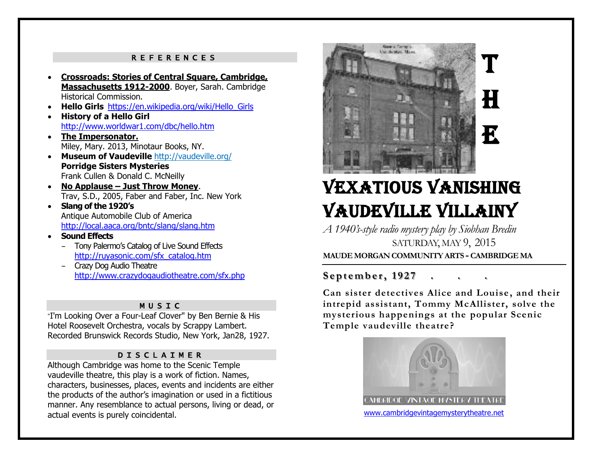#### REFERENCES

- **Crossroads: Stories of Central Square, Cambridge, Massachusetts 1912-2000**. Boyer, Sarah. Cambridge Historical Commission.
- **Hello Girls** [https://en.wikipedia.org/wiki/Hello\\_Girls](https://en.wikipedia.org/wiki/Hello_Girls)
- **History of a Hello Girl**  <http://www.worldwar1.com/dbc/hello.htm>
- **The Impersonator.** Miley, Mary. 2013, Minotaur Books, NY.
- **Museum of Vaudeville** <http://vaudeville.org/> **Porridge Sisters Mysteries** Frank Cullen & Donald C. McNeilly
- **No Applause – Just Throw Money**. Trav, S.D., 2005, Faber and Faber, Inc. New York
- **Slang of the 1920's**  Antique Automobile Club of America <http://local.aaca.org/bntc/slang/slang.htm>
- **Sound Effects**
	- Tony Palermo's Catalog of Live Sound Effects [http://ruyasonic.com/sfx\\_catalog.htm](http://ruyasonic.com/sfx_catalog.htm)
	- Crazy Dog Audio Theatre <http://www.crazydogaudiotheatre.com/sfx.php>

## MUSIC

"I'm Looking Over a Four-Leaf Clover" by Ben Bernie & His Hotel Roosevelt Orchestra, vocals by Scrappy Lambert. Recorded Brunswick Records Studio, New York, Jan28, 1927.

### DISCLAIMER

Although Cambridge was home to the Scenic Temple vaudeville theatre, this play is a work of fiction. Names, characters, businesses, places, events and incidents are either the products of the author's imagination or used in a fictitious manner. Any resemblance to actual persons, living or dead, or actual events is purely coincidental.



# Vexatious Vanishing Vaudeville Villainy

*A 1940's-style radio mystery play by Siobhan Bredin* SATURDAY, MAY 9, 2015 **MAUDE MORGAN COMMUNITY ARTS -CAMBRIDGE MA**

## **S e p t e m b e r, 1 9 2 7 . . .**

e.net/pastperformances

**Can sister detectives Alice and Louise , and their intrepid assistant, Tommy McAllister, solve the mysterious happenings at the popular Scenic Temple vaudeville theatre?**